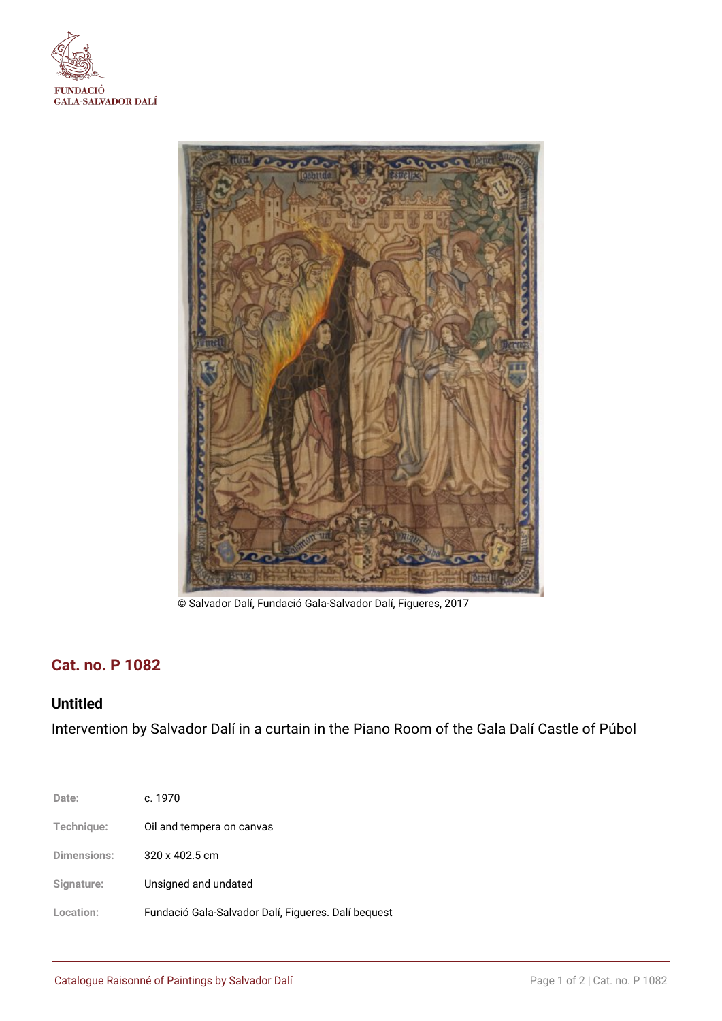



© Salvador Dalí, Fundació Gala-Salvador Dalí, Figueres, 2017

# **Cat. no. P 1082**

# **Untitled**

Intervention by Salvador Dalí in a curtain in the Piano Room of the Gala Dalí Castle of Púbol

| Date:       | c. 1970                                             |
|-------------|-----------------------------------------------------|
| Technique:  | Oil and tempera on canvas                           |
| Dimensions: | 320 x 402.5 cm                                      |
| Signature:  | Unsigned and undated                                |
| Location:   | Fundació Gala-Salvador Dalí, Figueres. Dalí bequest |